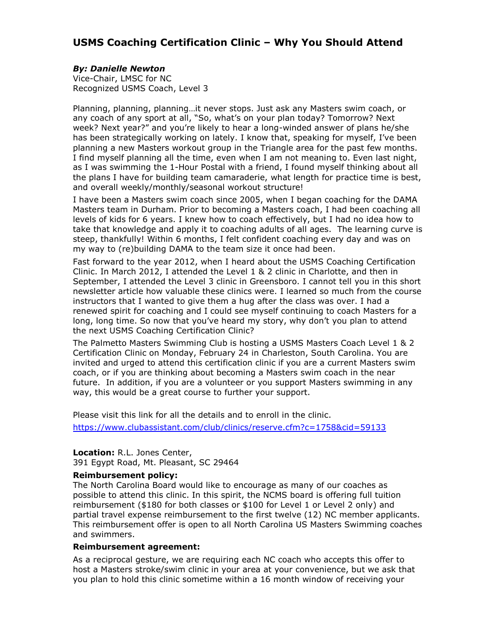# **USMS Coaching Certification Clinic – Why You Should Attend**

## *By: Danielle Newton*

Vice-Chair, LMSC for NC Recognized USMS Coach, Level 3

Planning, planning, planning…it never stops. Just ask any Masters swim coach, or any coach of any sport at all, "So, what's on your plan today? Tomorrow? Next week? Next year?" and you're likely to hear a long-winded answer of plans he/she has been strategically working on lately. I know that, speaking for myself, I've been planning a new Masters workout group in the Triangle area for the past few months. I find myself planning all the time, even when I am not meaning to. Even last night, as I was swimming the 1-Hour Postal with a friend, I found myself thinking about all the plans I have for building team camaraderie, what length for practice time is best, and overall weekly/monthly/seasonal workout structure!

I have been a Masters swim coach since 2005, when I began coaching for the DAMA Masters team in Durham. Prior to becoming a Masters coach, I had been coaching all levels of kids for 6 years. I knew how to coach effectively, but I had no idea how to take that knowledge and apply it to coaching adults of all ages. The learning curve is steep, thankfully! Within 6 months, I felt confident coaching every day and was on my way to (re)building DAMA to the team size it once had been.

Fast forward to the year 2012, when I heard about the USMS Coaching Certification Clinic. In March 2012, I attended the Level 1 & 2 clinic in Charlotte, and then in September, I attended the Level 3 clinic in Greensboro. I cannot tell you in this short newsletter article how valuable these clinics were. I learned so much from the course instructors that I wanted to give them a hug after the class was over. I had a renewed spirit for coaching and I could see myself continuing to coach Masters for a long, long time. So now that you've heard my story, why don't you plan to attend the next USMS Coaching Certification Clinic?

The Palmetto Masters Swimming Club is hosting a USMS Masters Coach Level 1 & 2 Certification Clinic on Monday, February 24 in Charleston, South Carolina. You are invited and urged to attend this certification clinic if you are a current Masters swim coach, or if you are thinking about becoming a Masters swim coach in the near future. In addition, if you are a volunteer or you support Masters swimming in any way, this would be a great course to further your support.

Please visit this link for all the details and to enroll in the clinic. <https://www.clubassistant.com/club/clinics/reserve.cfm?c=1758&cid=59133>

## **Location:** R.L. Jones Center,

391 Egypt Road, Mt. Pleasant, SC 29464

### **Reimbursement policy:**

The North Carolina Board would like to encourage as many of our coaches as possible to attend this clinic. In this spirit, the NCMS board is offering full tuition reimbursement (\$180 for both classes or \$100 for Level 1 or Level 2 only) and partial travel expense reimbursement to the first twelve (12) NC member applicants. This reimbursement offer is open to all North Carolina US Masters Swimming coaches and swimmers.

### **Reimbursement agreement:**

As a reciprocal gesture, we are requiring each NC coach who accepts this offer to host a Masters stroke/swim clinic in your area at your convenience, but we ask that you plan to hold this clinic sometime within a 16 month window of receiving your